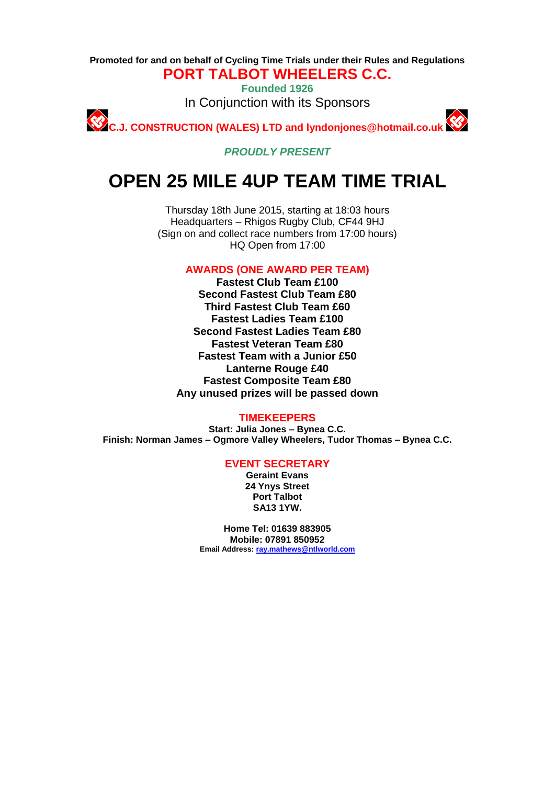**Promoted for and on behalf of Cycling Time Trials under their Rules and Regulations PORT TALBOT WHEELERS C.C.**

> **Founded 1926** In Conjunction with its Sponsors

**C.J. CONSTRUCTION (WALES) LTD and lyndonjones@hotmail.co.uk**

*PROUDLY PRESENT*

# **OPEN 25 MILE 4UP TEAM TIME TRIAL**

Thursday 18th June 2015, starting at 18:03 hours Headquarters – Rhigos Rugby Club, CF44 9HJ (Sign on and collect race numbers from 17:00 hours) HQ Open from 17:00

**AWARDS (ONE AWARD PER TEAM)**

**Fastest Club Team £100 Second Fastest Club Team £80 Third Fastest Club Team £60 Fastest Ladies Team £100 Second Fastest Ladies Team £80 Fastest Veteran Team £80 Fastest Team with a Junior £50 Lanterne Rouge £40 Fastest Composite Team £80 Any unused prizes will be passed down**

#### **TIMEKEEPERS**

**Start: Julia Jones – Bynea C.C. Finish: Norman James – Ogmore Valley Wheelers, Tudor Thomas – Bynea C.C.**

## **EVENT SECRETARY**

**Geraint Evans 24 Ynys Street Port Talbot SA13 1YW.**

**Home Tel: 01639 883905 Mobile: 07891 850952 Email Address: [ray.mathews@ntlworld.com](mailto:ray.mathews@ntlworld.com)**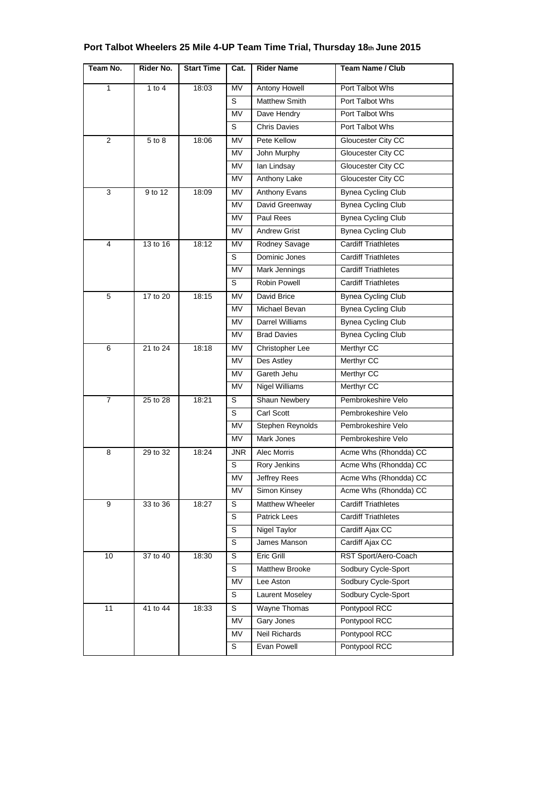| Team No. | Rider No. | <b>Start Time</b> | Cat.      | <b>Rider Name</b>    | <b>Team Name / Club</b>   |
|----------|-----------|-------------------|-----------|----------------------|---------------------------|
| 1        | 1 to $4$  | 18:03             | <b>MV</b> | Antony Howell        | Port Talbot Whs           |
|          |           |                   | S         | <b>Matthew Smith</b> | Port Talbot Whs           |
|          |           |                   | <b>MV</b> | Dave Hendry          | Port Talbot Whs           |
|          |           |                   | S         | <b>Chris Davies</b>  | Port Talbot Whs           |
| 2        | 5 to 8    | 18:06             | MV        | Pete Kellow          | Gloucester City CC        |
|          |           |                   | <b>MV</b> | John Murphy          | Gloucester City CC        |
|          |           |                   | <b>MV</b> | lan Lindsay          | Gloucester City CC        |
|          |           |                   | MV        | Anthony Lake         | Gloucester City CC        |
| 3        | 9 to 12   | 18:09             | MV.       | <b>Anthony Evans</b> | <b>Bynea Cycling Club</b> |
|          |           |                   | MV        | David Greenway       | <b>Bynea Cycling Club</b> |

|                            |          |             | MV                     | David Greenway             | <b>Bynea Cycling Club</b>  |
|----------------------------|----------|-------------|------------------------|----------------------------|----------------------------|
|                            |          |             | <b>MV</b>              | <b>Paul Rees</b>           | <b>Bynea Cycling Club</b>  |
|                            |          |             | MV                     | <b>Andrew Grist</b>        | Bynea Cycling Club         |
| $\overline{4}$<br>13 to 16 | 18:12    | MV          | Rodney Savage          | <b>Cardiff Triathletes</b> |                            |
|                            |          |             | S                      | Dominic Jones              | <b>Cardiff Triathletes</b> |
|                            |          |             | MV                     | Mark Jennings              | <b>Cardiff Triathletes</b> |
|                            |          | S           | Robin Powell           | <b>Cardiff Triathletes</b> |                            |
| $\overline{5}$             | 17 to 20 | 18:15       | MV                     | David Brice                | <b>Bynea Cycling Club</b>  |
|                            |          |             | MV                     | Michael Bevan              | <b>Bynea Cycling Club</b>  |
|                            |          |             | <b>MV</b>              | <b>Darrel Williams</b>     | <b>Bynea Cycling Club</b>  |
|                            |          |             | <b>MV</b>              | <b>Brad Davies</b>         | <b>Bynea Cycling Club</b>  |
| 6                          | 21 to 24 | 18:18       | <b>MV</b>              | Christopher Lee            | Merthyr CC                 |
|                            |          |             | MV                     | Des Astley                 | Merthyr CC                 |
|                            |          |             | MV                     | Gareth Jehu                | Merthyr CC                 |
|                            |          | <b>MV</b>   | Nigel Williams         | Merthyr CC                 |                            |
| $\overline{7}$<br>25 to 28 | 18:21    | S           | Shaun Newbery          | Pembrokeshire Velo         |                            |
|                            |          | $\mathbb S$ | Carl Scott             | Pembrokeshire Velo         |                            |
|                            |          | MV          | Stephen Reynolds       | Pembrokeshire Velo         |                            |
|                            |          | <b>MV</b>   | Mark Jones             | Pembrokeshire Velo         |                            |
| $\overline{8}$<br>29 to 32 | 18:24    | <b>JNR</b>  | Alec Morris            | Acme Whs (Rhondda) CC      |                            |
|                            |          |             | S                      | Rory Jenkins               | Acme Whs (Rhondda) CC      |
|                            |          | MV          | Jeffrey Rees           | Acme Whs (Rhondda) CC      |                            |
|                            |          | <b>MV</b>   | Simon Kinsey           | Acme Whs (Rhondda) CC      |                            |
| 9<br>33 to 36              | 18:27    | S           | <b>Matthew Wheeler</b> | <b>Cardiff Triathletes</b> |                            |
|                            |          |             | S                      | Patrick Lees               | Cardiff Triathletes        |
|                            |          |             | S                      | <b>Nigel Taylor</b>        | Cardiff Ajax CC            |
|                            |          | S           | James Manson           | Cardiff Ajax CC            |                            |
| 10<br>37 to 40             |          | 18:30       | S                      | <b>Eric Grill</b>          | RST Sport/Aero-Coach       |
|                            |          |             | S                      | Matthew Brooke             | Sodbury Cycle-Sport        |
|                            |          |             | <b>MV</b>              | Lee Aston                  | Sodbury Cycle-Sport        |
|                            |          | S           | Laurent Moseley        | Sodbury Cycle-Sport        |                            |
| $\overline{11}$            | 41 to 44 | 18:33       | S                      | Wayne Thomas               | Pontypool RCC              |
|                            |          |             | MV                     | Gary Jones                 | Pontypool RCC              |
|                            |          | MV          | <b>Neil Richards</b>   | Pontypool RCC              |                            |

S Evan Powell Pontypool RCC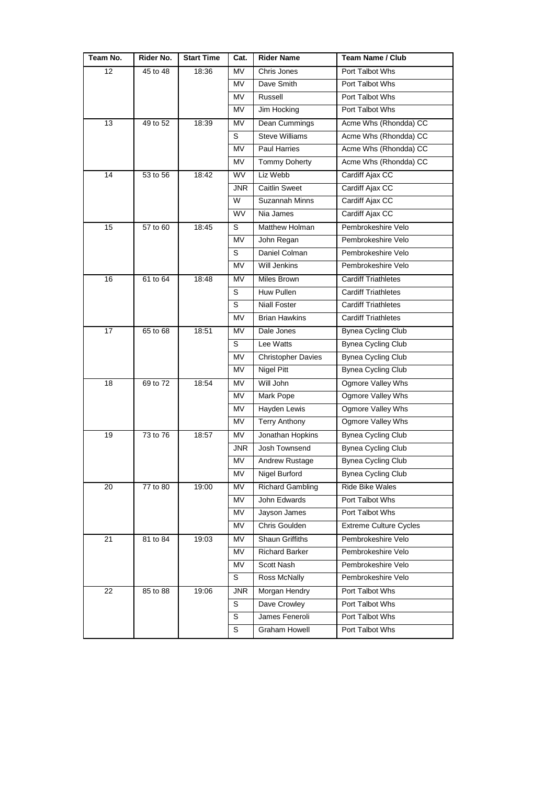| Team No. | Rider No.            | <b>Start Time</b> | Cat.        | <b>Rider Name</b>         | <b>Team Name / Club</b>       |
|----------|----------------------|-------------------|-------------|---------------------------|-------------------------------|
| 12       | 45 to 48             | 18:36             | <b>MV</b>   | Chris Jones               | Port Talbot Whs               |
|          |                      |                   | MV          | Dave Smith                | Port Talbot Whs               |
|          |                      |                   | MV          | Russell                   | Port Talbot Whs               |
|          |                      |                   | MV          | Jim Hocking               | Port Talbot Whs               |
| 13       | 49 to 52             | 18:39             | MV          | Dean Cummings             | Acme Whs (Rhondda) CC         |
|          |                      |                   | S           | <b>Steve Williams</b>     | Acme Whs (Rhondda) CC         |
|          |                      |                   | MV          | Paul Harries              | Acme Whs (Rhondda) CC         |
|          |                      |                   | MV          | <b>Tommy Doherty</b>      | Acme Whs (Rhondda) CC         |
| 14       | 53 to 56             | 18:42             | <b>WV</b>   | Liz Webb                  | Cardiff Ajax CC               |
|          |                      |                   | <b>JNR</b>  | <b>Caitlin Sweet</b>      | Cardiff Ajax CC               |
|          |                      |                   | W           | Suzannah Minns            | Cardiff Ajax CC               |
|          |                      |                   | <b>WV</b>   | Nia James                 | Cardiff Ajax CC               |
| 15       | 57 to 60             | 18:45             | S           | Matthew Holman            | Pembrokeshire Velo            |
|          |                      |                   | <b>MV</b>   | John Regan                | Pembrokeshire Velo            |
|          |                      |                   | S           | Daniel Colman             | Pembrokeshire Velo            |
|          |                      |                   | MV          | <b>Will Jenkins</b>       | Pembrokeshire Velo            |
| 16       | 61 to 64             | 18:48             | <b>MV</b>   | Miles Brown               | <b>Cardiff Triathletes</b>    |
|          |                      |                   | S           | Huw Pullen                | <b>Cardiff Triathletes</b>    |
|          |                      |                   | S           | <b>Niall Foster</b>       | <b>Cardiff Triathletes</b>    |
|          |                      |                   | MV          | <b>Brian Hawkins</b>      | <b>Cardiff Triathletes</b>    |
| 17       | 65 to 68             | 18:51             | MV          | Dale Jones                | Bynea Cycling Club            |
|          |                      |                   | S           | Lee Watts                 | <b>Bynea Cycling Club</b>     |
|          |                      |                   | MV          | <b>Christopher Davies</b> | <b>Bynea Cycling Club</b>     |
|          |                      |                   | MV          | Nigel Pitt                | <b>Bynea Cycling Club</b>     |
| 18       | 69 to 72             | 18:54             | MV          | Will John                 | Ogmore Valley Whs             |
|          |                      |                   | MV          | Mark Pope                 | Ogmore Valley Whs             |
|          |                      |                   | MV          | Hayden Lewis              | Ogmore Valley Whs             |
|          |                      |                   | MV          | <b>Terry Anthony</b>      | Ogmore Valley Whs             |
| 19       | 73 to 76             | 18:57             | MV          | Jonathan Hopkins          | <b>Bynea Cycling Club</b>     |
|          |                      |                   | <b>JNR</b>  | Josh Townsend             | <b>Bynea Cycling Club</b>     |
|          |                      |                   | MV          | Andrew Rustage            | <b>Bynea Cycling Club</b>     |
|          |                      |                   | MV          | Nigel Burford             | Bynea Cycling Club            |
| 20       | $\frac{1}{77}$ to 80 | 19:00             | MV          | <b>Richard Gambling</b>   | <b>Ride Bike Wales</b>        |
|          |                      |                   | MV          | John Edwards              | Port Talbot Whs               |
|          |                      |                   | MV          | Jayson James              | Port Talbot Whs               |
|          |                      |                   | MV          | Chris Goulden             | <b>Extreme Culture Cycles</b> |
| 21       | 81 to 84             | 19:03             | MV          | Shaun Griffiths           | Pembrokeshire Velo            |
|          |                      |                   | MV          | <b>Richard Barker</b>     | Pembrokeshire Velo            |
|          |                      |                   | MV          | Scott Nash                | Pembrokeshire Velo            |
|          |                      |                   | S           | Ross McNally              | Pembrokeshire Velo            |
| 22       | 85 to 88             | 19:06             | <b>JNR</b>  | Morgan Hendry             | Port Talbot Whs               |
|          |                      |                   | S           | Dave Crowley              | Port Talbot Whs               |
|          |                      |                   | $\mathbb S$ | James Feneroli            | Port Talbot Whs               |
|          |                      |                   | S           | Graham Howell             | Port Talbot Whs               |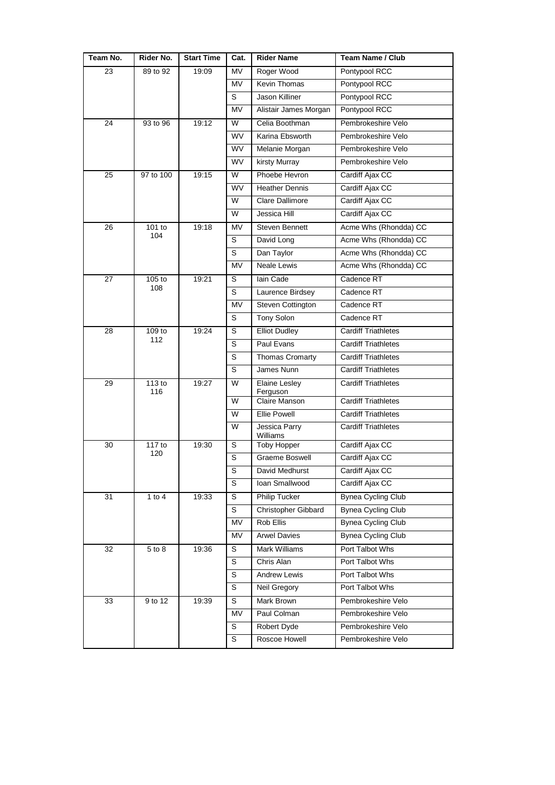| Team No. | Rider No.     | <b>Start Time</b> | Cat.           | <b>Rider Name</b>         | <b>Team Name / Club</b>    |
|----------|---------------|-------------------|----------------|---------------------------|----------------------------|
| 23       | 89 to 92      | 19:09             | MV             | Roger Wood                | Pontypool RCC              |
|          |               |                   | <b>MV</b>      | Kevin Thomas              | Pontypool RCC              |
|          |               |                   | S              | Jason Killiner            | Pontypool RCC              |
|          |               |                   | MV             | Alistair James Morgan     | Pontypool RCC              |
| 24       | 93 to 96      | 19:12             | W              | Celia Boothman            | Pembrokeshire Velo         |
|          |               |                   | <b>WV</b>      | Karina Ebsworth           | Pembrokeshire Velo         |
|          |               |                   | <b>WV</b>      | Melanie Morgan            | Pembrokeshire Velo         |
|          |               |                   | <b>WV</b>      | kirsty Murray             | Pembrokeshire Velo         |
| 25       | 97 to 100     | 19:15             | W              | Phoebe Hevron             | Cardiff Ajax CC            |
|          |               |                   | <b>WV</b>      | <b>Heather Dennis</b>     | Cardiff Ajax CC            |
|          |               |                   | W              | <b>Clare Dallimore</b>    | Cardiff Ajax CC            |
|          |               |                   | W              | Jessica Hill              | Cardiff Ajax CC            |
| 26       | 101 to        | 19:18             | <b>MV</b>      | <b>Steven Bennett</b>     | Acme Whs (Rhondda) CC      |
|          | 104           |                   | S              | David Long                | Acme Whs (Rhondda) CC      |
|          |               |                   | $\mathbb S$    | Dan Taylor                | Acme Whs (Rhondda) CC      |
|          |               |                   | <b>MV</b>      | Neale Lewis               | Acme Whs (Rhondda) CC      |
| 27       | $105$ to      | 19:21             | S              | lain Cade                 | Cadence RT                 |
|          | 108           |                   | S              | Laurence Birdsey          | Cadence RT                 |
|          |               |                   | MV             | Steven Cottington         | Cadence RT                 |
|          |               |                   | S              | Tony Solon                | Cadence RT                 |
| 28       | 109 to        | 19:24             | S              | <b>Elliot Dudley</b>      | <b>Cardiff Triathletes</b> |
|          | 112           |                   | S              | Paul Evans                | <b>Cardiff Triathletes</b> |
|          |               |                   | S              | <b>Thomas Cromarty</b>    | <b>Cardiff Triathletes</b> |
|          |               |                   | S              | James Nunn                | <b>Cardiff Triathletes</b> |
| 29       | 113 to<br>116 | 19:27             | W              | <b>Elaine Lesley</b>      | <b>Cardiff Triathletes</b> |
|          |               |                   | W              | Ferguson<br>Claire Manson | <b>Cardiff Triathletes</b> |
|          |               |                   | W              | Ellie Powell              | <b>Cardiff Triathletes</b> |
|          |               |                   | W              | Jessica Parry<br>Williams | <b>Cardiff Triathletes</b> |
| 30       | 117 to        | 19:30             | S              | <b>Toby Hopper</b>        | Cardiff Ajax CC            |
|          | 120           |                   | S              | Graeme Boswell            | Cardiff Ajax CC            |
|          |               |                   | $\overline{s}$ | David Medhurst            | Cardiff Ajax CC            |
|          |               |                   | S              | Ioan Smallwood            | Cardiff Ajax CC            |
| 31       | 1 to $4$      | 19:33             | $\overline{s}$ | <b>Philip Tucker</b>      | <b>Bynea Cycling Club</b>  |
|          |               |                   | $\mathbf S$    | Christopher Gibbard       | <b>Bynea Cycling Club</b>  |
|          |               |                   | MV             | Rob Ellis                 | Bynea Cycling Club         |
|          |               |                   | MV             | <b>Arwel Davies</b>       | <b>Bynea Cycling Club</b>  |
| 32       | 5 to 8        | 19:36             | S              | <b>Mark Williams</b>      | Port Talbot Whs            |
|          |               |                   | S              | Chris Alan                | Port Talbot Whs            |
|          |               |                   | $\mathbb S$    | Andrew Lewis              | Port Talbot Whs            |
|          |               |                   | $\mathbf S$    | Neil Gregory              | Port Talbot Whs            |
| 33       | 9 to 12       | 19:39             | S              | Mark Brown                | Pembrokeshire Velo         |
|          |               |                   | MV             | Paul Colman               | Pembrokeshire Velo         |
|          |               |                   | $\overline{s}$ | Robert Dyde               | Pembrokeshire Velo         |
|          |               |                   | S              | Roscoe Howell             | Pembrokeshire Velo         |
|          |               |                   |                |                           |                            |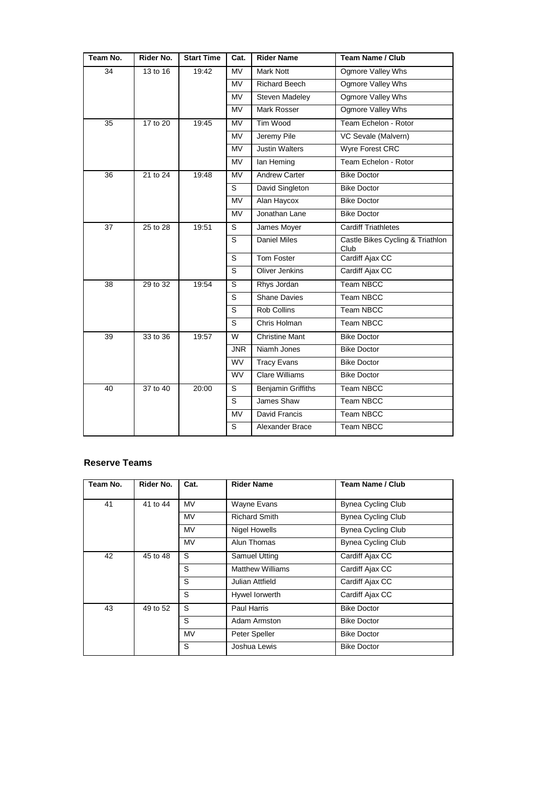| Team No.        | Rider No. | <b>Start Time</b> | Cat.                   | <b>Rider Name</b>         | <b>Team Name / Club</b>                  |
|-----------------|-----------|-------------------|------------------------|---------------------------|------------------------------------------|
| 34              | 13 to 16  | 19:42             | <b>MV</b>              | <b>Mark Nott</b>          | Ogmore Valley Whs                        |
|                 |           |                   | <b>MV</b>              | <b>Richard Beech</b>      | Ogmore Valley Whs                        |
|                 |           |                   | <b>MV</b>              | Steven Madeley            | Ogmore Valley Whs                        |
|                 |           |                   | <b>MV</b>              | Mark Rosser               | Ogmore Valley Whs                        |
| $\overline{35}$ | 17 to 20  | 19:45             | $\overline{\text{MV}}$ | <b>Tim Wood</b>           | Team Echelon - Rotor                     |
|                 |           |                   | <b>MV</b>              | Jeremy Pile               | VC Sevale (Malvern)                      |
|                 |           |                   | <b>MV</b>              | <b>Justin Walters</b>     | Wyre Forest CRC                          |
|                 |           |                   | <b>MV</b>              | lan Heming                | Team Echelon - Rotor                     |
| 36              | 21 to 24  | 19:48             | <b>MV</b>              | <b>Andrew Carter</b>      | <b>Bike Doctor</b>                       |
|                 |           |                   | S                      | David Singleton           | <b>Bike Doctor</b>                       |
|                 |           |                   | <b>MV</b>              | Alan Haycox               | <b>Bike Doctor</b>                       |
|                 |           |                   | <b>MV</b>              | Jonathan Lane             | <b>Bike Doctor</b>                       |
| 37              | 25 to 28  | 19:51             | S                      | James Moyer               | <b>Cardiff Triathletes</b>               |
|                 |           |                   | S                      | Daniel Miles              | Castle Bikes Cycling & Triathlon<br>Club |
|                 |           |                   | S                      | Tom Foster                | Cardiff Ajax CC                          |
|                 |           |                   | S                      | <b>Oliver Jenkins</b>     | Cardiff Ajax CC                          |
| 38              | 29 to 32  | 19:54             | S                      | Rhys Jordan               | <b>Team NBCC</b>                         |
|                 |           |                   | s                      | <b>Shane Davies</b>       | Team NBCC                                |
|                 |           |                   | S                      | <b>Rob Collins</b>        | Team NBCC                                |
|                 |           |                   | S                      | Chris Holman              | <b>Team NBCC</b>                         |
| 39              | 33 to 36  | 19:57             | $\overline{W}$         | <b>Christine Mant</b>     | <b>Bike Doctor</b>                       |
|                 |           |                   | <b>JNR</b>             | Niamh Jones               | <b>Bike Doctor</b>                       |
|                 |           |                   | <b>WV</b>              | <b>Tracy Evans</b>        | <b>Bike Doctor</b>                       |
|                 |           |                   | <b>WV</b>              | <b>Clare Williams</b>     | <b>Bike Doctor</b>                       |
| $\overline{40}$ | 37 to 40  | 20:00             | S                      | <b>Benjamin Griffiths</b> | <b>Team NBCC</b>                         |
|                 |           |                   | S                      | James Shaw                | Team NBCC                                |
|                 |           |                   | <b>MV</b>              | David Francis             | <b>Team NBCC</b>                         |
|                 |           |                   | S                      | Alexander Brace           | <b>Team NBCC</b>                         |

## **Reserve Teams**

| Team No.                 | Rider No. | Cat.        | <b>Rider Name</b>       | <b>Team Name / Club</b>   |
|--------------------------|-----------|-------------|-------------------------|---------------------------|
| 41                       | 41 to 44  | <b>MV</b>   | Wayne Evans             | <b>Bynea Cycling Club</b> |
|                          |           | MV          | <b>Richard Smith</b>    | <b>Bynea Cycling Club</b> |
|                          |           | MV          | <b>Nigel Howells</b>    | <b>Bynea Cycling Club</b> |
|                          |           | <b>MV</b>   | Alun Thomas             | <b>Bynea Cycling Club</b> |
| 42<br>45 to 48           |           | S           | Samuel Utting           | Cardiff Ajax CC           |
|                          |           | S           | <b>Matthew Williams</b> | Cardiff Ajax CC           |
|                          |           | S           | Julian Attfield         | Cardiff Ajax CC           |
|                          |           | S           | Hywel lorwerth          | Cardiff Ajax CC           |
| S<br>43<br>49 to 52<br>S |           | Paul Harris | <b>Bike Doctor</b>      |                           |
|                          |           |             | Adam Armston            | <b>Bike Doctor</b>        |
|                          |           | <b>MV</b>   | Peter Speller           | <b>Bike Doctor</b>        |
|                          |           | S           | Joshua Lewis            | <b>Bike Doctor</b>        |